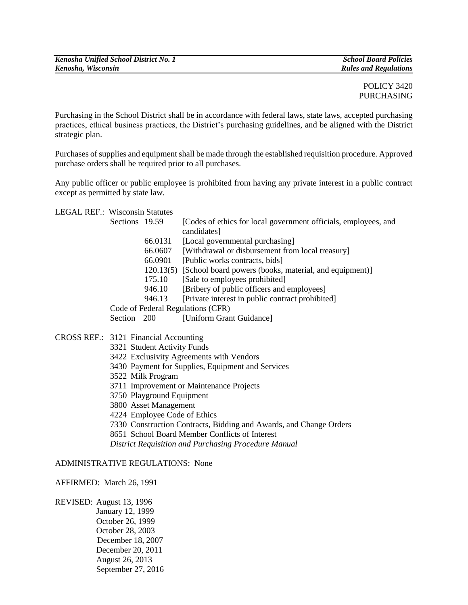POLICY 3420 PURCHASING

Purchasing in the School District shall be in accordance with federal laws, state laws, accepted purchasing practices, ethical business practices, the District's purchasing guidelines, and be aligned with the District strategic plan.

Purchases of supplies and equipment shall be made through the established requisition procedure. Approved purchase orders shall be required prior to all purchases.

Any public officer or public employee is prohibited from having any private interest in a public contract except as permitted by state law.

LEGAL REF.: Wisconsin Statutes

| Sections 19.59                    |         | [Codes of ethics for local government officials, employees, and  |
|-----------------------------------|---------|------------------------------------------------------------------|
|                                   |         | candidates]                                                      |
|                                   | 66.0131 | [Local governmental purchasing]                                  |
|                                   | 66.0607 | [Withdrawal or disbursement from local treasury]                 |
|                                   | 66.0901 | [Public works contracts, bids]                                   |
|                                   |         | 120.13(5) [School board powers (books, material, and equipment)] |
|                                   | 175.10  | [Sale to employees prohibited]                                   |
|                                   | 946.10  | [Bribery of public officers and employees]                       |
|                                   | 946.13  | [Private interest in public contract prohibited]                 |
| Code of Federal Regulations (CFR) |         |                                                                  |
| Section 200                       |         | [Uniform Grant Guidance]                                         |
|                                   |         |                                                                  |

# CROSS REF.: 3121 Financial Accounting

- 3321 Student Activity Funds
- 3422 Exclusivity Agreements with Vendors
- 3430 Payment for Supplies, Equipment and Services
- 3522 Milk Program
- 3711 Improvement or Maintenance Projects
- 3750 Playground Equipment
- 3800 Asset Management
- 4224 Employee Code of Ethics
- 7330 Construction Contracts, Bidding and Awards, and Change Orders
- 8651 School Board Member Conflicts of Interest
- *District Requisition and Purchasing Procedure Manual*

### ADMINISTRATIVE REGULATIONS: None

#### AFFIRMED: March 26, 1991

REVISED: August 13, 1996 January 12, 1999 October 26, 1999 October 28, 2003 December 18, 2007 December 20, 2011 August 26, 2013 September 27, 2016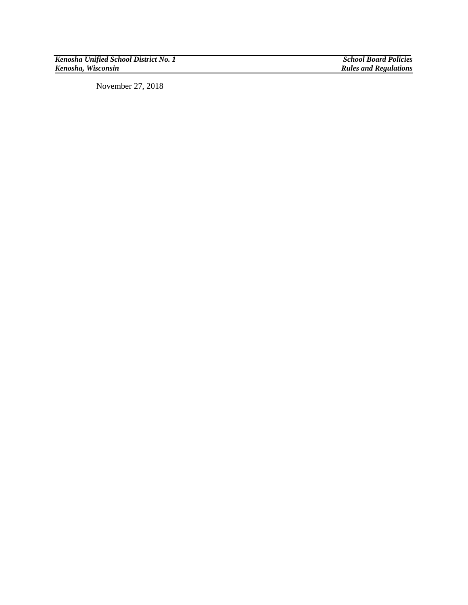*Kenosha Unified School District No. 1 School Board Policies*

**Rules and Regulations** 

November 27, 2018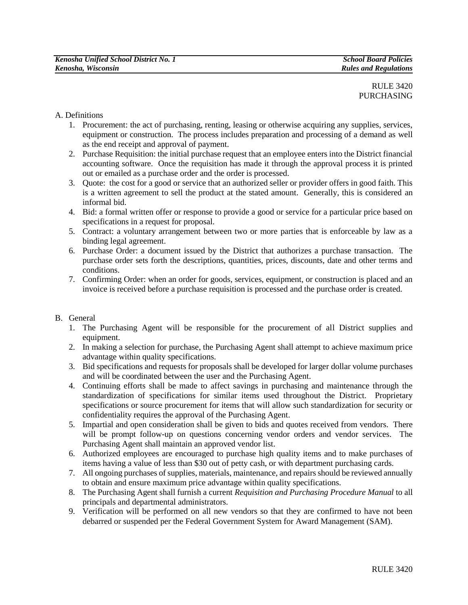# A. Definitions

- 1. Procurement: the act of purchasing, renting, leasing or otherwise acquiring any supplies, services, equipment or construction. The process includes preparation and processing of a demand as well as the end receipt and approval of payment.
- 2. Purchase Requisition: the initial purchase request that an employee enters into the District financial accounting software. Once the requisition has made it through the approval process it is printed out or emailed as a purchase order and the order is processed.
- 3. Quote: the cost for a good or service that an authorized seller or provider offers in good faith. This is a written agreement to sell the product at the stated amount. Generally, this is considered an informal bid.
- 4. Bid: a formal written offer or response to provide a good or service for a particular price based on specifications in a request for proposal.
- 5. Contract: a voluntary arrangement between two or more parties that is enforceable by law as a binding legal agreement.
- 6. Purchase Order: a document issued by the District that authorizes a purchase transaction. The purchase order sets forth the descriptions, quantities, prices, discounts, date and other terms and conditions.
- 7. Confirming Order: when an order for goods, services, equipment, or construction is placed and an invoice is received before a purchase requisition is processed and the purchase order is created.

### B. General

- 1. The Purchasing Agent will be responsible for the procurement of all District supplies and equipment.
- 2. In making a selection for purchase, the Purchasing Agent shall attempt to achieve maximum price advantage within quality specifications.
- 3. Bid specifications and requests for proposals shall be developed for larger dollar volume purchases and will be coordinated between the user and the Purchasing Agent.
- 4. Continuing efforts shall be made to affect savings in purchasing and maintenance through the standardization of specifications for similar items used throughout the District. Proprietary specifications or source procurement for items that will allow such standardization for security or confidentiality requires the approval of the Purchasing Agent.
- 5. Impartial and open consideration shall be given to bids and quotes received from vendors. There will be prompt follow-up on questions concerning vendor orders and vendor services. The Purchasing Agent shall maintain an approved vendor list.
- 6. Authorized employees are encouraged to purchase high quality items and to make purchases of items having a value of less than \$30 out of petty cash, or with department purchasing cards.
- 7. All ongoing purchases of supplies, materials, maintenance, and repairs should be reviewed annually to obtain and ensure maximum price advantage within quality specifications.
- 8. The Purchasing Agent shall furnish a current *Requisition and Purchasing Procedure Manual* to all principals and departmental administrators.
- 9. Verification will be performed on all new vendors so that they are confirmed to have not been debarred or suspended per the Federal Government System for Award Management (SAM).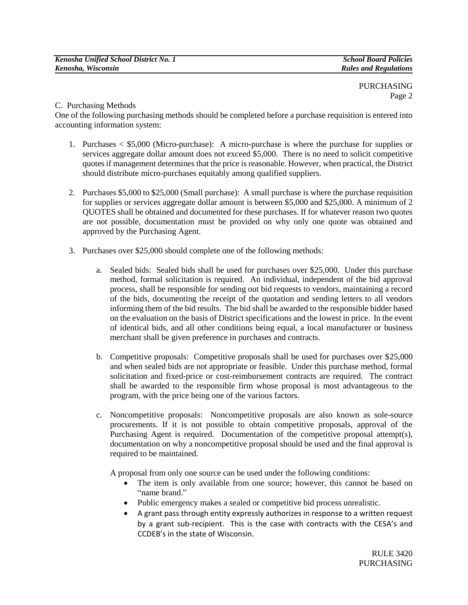PURCHASING Page 2

C. Purchasing Methods

One of the following purchasing methods should be completed before a purchase requisition is entered into accounting information system:

- 1. Purchases < \$5,000 (Micro-purchase): A micro-purchase is where the purchase for supplies or services aggregate dollar amount does not exceed \$5,000. There is no need to solicit competitive quotes if management determines that the price is reasonable. However, when practical, the District should distribute micro-purchases equitably among qualified suppliers.
- 2. Purchases \$5,000 to \$25,000 (Small purchase): A small purchase is where the purchase requisition for supplies or services aggregate dollar amount is between \$5,000 and \$25,000. A minimum of 2 QUOTES shall be obtained and documented for these purchases. If for whatever reason two quotes are not possible, documentation must be provided on why only one quote was obtained and approved by the Purchasing Agent.
- 3. Purchases over \$25,000 should complete one of the following methods:
	- a. Sealed bids: Sealed bids shall be used for purchases over \$25,000. Under this purchase method, formal solicitation is required. An individual, independent of the bid approval process, shall be responsible for sending out bid requests to vendors, maintaining a record of the bids, documenting the receipt of the quotation and sending letters to all vendors informing them of the bid results. The bid shall be awarded to the responsible bidder based on the evaluation on the basis of District specifications and the lowest in price. In the event of identical bids, and all other conditions being equal, a local manufacturer or business merchant shall be given preference in purchases and contracts.
	- b. Competitive proposals: Competitive proposals shall be used for purchases over \$25,000 and when sealed bids are not appropriate or feasible. Under this purchase method, formal solicitation and fixed-price or cost-reimbursement contracts are required. The contract shall be awarded to the responsible firm whose proposal is most advantageous to the program, with the price being one of the various factors.
	- c. Noncompetitive proposals: Noncompetitive proposals are also known as sole-source procurements. If it is not possible to obtain competitive proposals, approval of the Purchasing Agent is required. Documentation of the competitive proposal attempt(s), documentation on why a noncompetitive proposal should be used and the final approval is required to be maintained.

A proposal from only one source can be used under the following conditions:

- The item is only available from one source; however, this cannot be based on "name brand."
- Public emergency makes a sealed or competitive bid process unrealistic.
- A grant pass through entity expressly authorizes in response to a written request by a grant sub-recipient. This is the case with contracts with the CESA's and CCDEB's in the state of Wisconsin.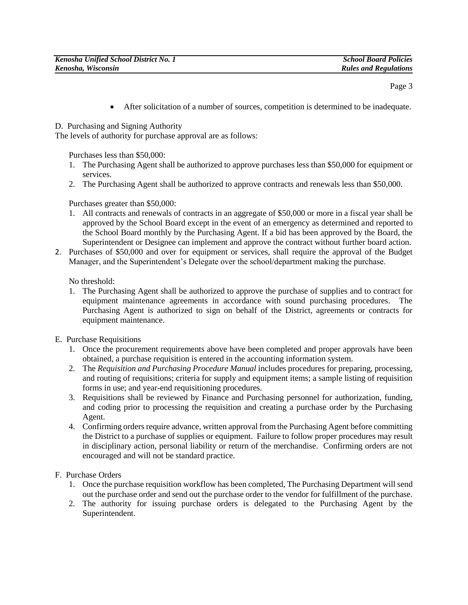Page 3

After solicitation of a number of sources, competition is determined to be inadequate.

D. Purchasing and Signing Authority

The levels of authority for purchase approval are as follows:

Purchases less than \$50,000:

- 1. The Purchasing Agent shall be authorized to approve purchases less than \$50,000 for equipment or services.
- 2. The Purchasing Agent shall be authorized to approve contracts and renewals less than \$50,000.

Purchases greater than \$50,000:

- 1. All contracts and renewals of contracts in an aggregate of \$50,000 or more in a fiscal year shall be approved by the School Board except in the event of an emergency as determined and reported to the School Board monthly by the Purchasing Agent. If a bid has been approved by the Board, the Superintendent or Designee can implement and approve the contract without further board action.
- 2. Purchases of \$50,000 and over for equipment or services, shall require the approval of the Budget Manager, and the Superintendent's Delegate over the school/department making the purchase.

No threshold:

- 1. The Purchasing Agent shall be authorized to approve the purchase of supplies and to contract for equipment maintenance agreements in accordance with sound purchasing procedures. The Purchasing Agent is authorized to sign on behalf of the District, agreements or contracts for equipment maintenance.
- E. Purchase Requisitions
	- 1. Once the procurement requirements above have been completed and proper approvals have been obtained, a purchase requisition is entered in the accounting information system.
	- 2. The *Requisition and Purchasing Procedure Manual* includes procedures for preparing, processing, and routing of requisitions; criteria for supply and equipment items; a sample listing of requisition forms in use; and year-end requisitioning procedures.
	- 3. Requisitions shall be reviewed by Finance and Purchasing personnel for authorization, funding, and coding prior to processing the requisition and creating a purchase order by the Purchasing Agent.
	- 4. Confirming orders require advance, written approval from the Purchasing Agent before committing the District to a purchase of supplies or equipment. Failure to follow proper procedures may result in disciplinary action, personal liability or return of the merchandise. Confirming orders are not encouraged and will not be standard practice.
- F. Purchase Orders
	- 1. Once the purchase requisition workflow has been completed, The Purchasing Department will send out the purchase order and send out the purchase order to the vendor for fulfillment of the purchase.
	- 2. The authority for issuing purchase orders is delegated to the Purchasing Agent by the Superintendent.